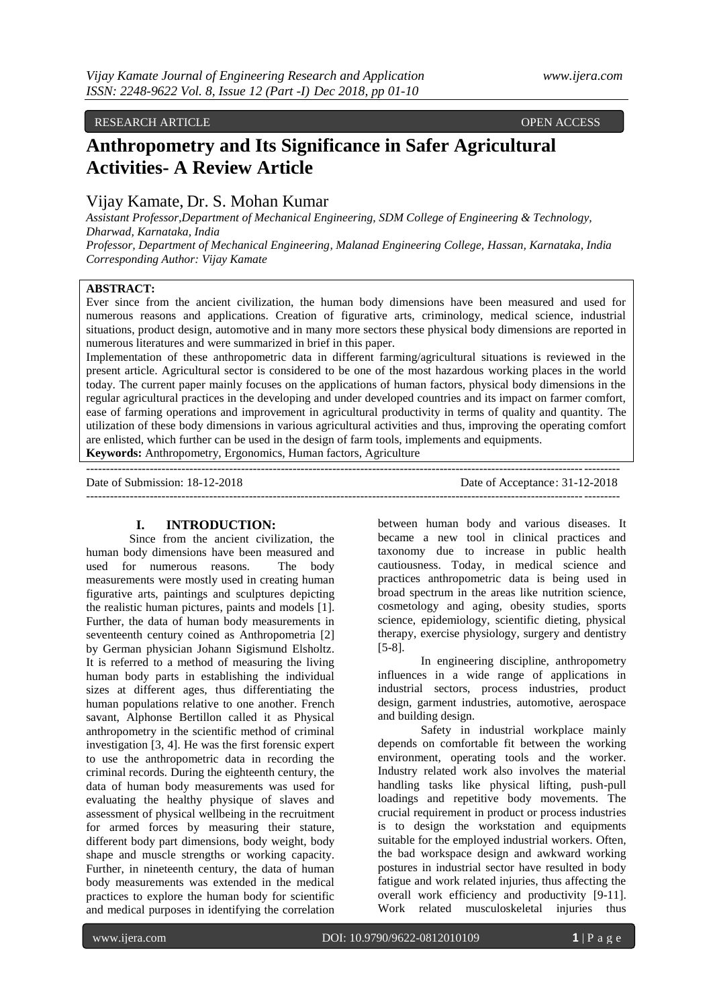### RESEARCH ARTICLE OPEN ACCESS

# **Anthropometry and Its Significance in Safer Agricultural Activities- A Review Article**

# Vijay Kamate, Dr. S. Mohan Kumar

*Assistant Professor,Department of Mechanical Engineering, SDM College of Engineering & Technology, Dharwad, Karnataka, India Professor, Department of Mechanical Engineering, Malanad Engineering College, Hassan, Karnataka, India Corresponding Author: Vijay Kamate*

#### **ABSTRACT:**

Ever since from the ancient civilization, the human body dimensions have been measured and used for numerous reasons and applications. Creation of figurative arts, criminology, medical science, industrial situations, product design, automotive and in many more sectors these physical body dimensions are reported in numerous literatures and were summarized in brief in this paper.

Implementation of these anthropometric data in different farming/agricultural situations is reviewed in the present article. Agricultural sector is considered to be one of the most hazardous working places in the world today. The current paper mainly focuses on the applications of human factors, physical body dimensions in the regular agricultural practices in the developing and under developed countries and its impact on farmer comfort, ease of farming operations and improvement in agricultural productivity in terms of quality and quantity. The utilization of these body dimensions in various agricultural activities and thus, improving the operating comfort are enlisted, which further can be used in the design of farm tools, implements and equipments. **Keywords:** Anthropometry, Ergonomics, Human factors, Agriculture

Date of Submission: 18-12-2018 Date of Acceptance: 31-12-2018

#### **I. INTRODUCTION:**

--------------------------------------------------------------------------------------------------------------------------------------

Since from the ancient civilization, the human body dimensions have been measured and used for numerous reasons. The body measurements were mostly used in creating human figurative arts, paintings and sculptures depicting the realistic human pictures, paints and models [1]. Further, the data of human body measurements in seventeenth century coined as Anthropometria [2] by German physician Johann Sigismund Elsholtz. It is referred to a method of measuring the living human body parts in establishing the individual sizes at different ages, thus differentiating the human populations relative to one another. French savant, Alphonse Bertillon called it as Physical anthropometry in the scientific method of criminal investigation [3, 4]. He was the first forensic expert to use the anthropometric data in recording the criminal records. During the eighteenth century, the data of human body measurements was used for evaluating the healthy physique of slaves and assessment of physical wellbeing in the recruitment for armed forces by measuring their stature, different body part dimensions, body weight, body shape and muscle strengths or working capacity. Further, in nineteenth century, the data of human body measurements was extended in the medical practices to explore the human body for scientific and medical purposes in identifying the correlation

between human body and various diseases. It became a new tool in clinical practices and taxonomy due to increase in public health cautiousness. Today, in medical science and practices anthropometric data is being used in broad spectrum in the areas like nutrition science, cosmetology and aging, obesity studies, sports science, epidemiology, scientific dieting, physical therapy, exercise physiology, surgery and dentistry [5-8].

In engineering discipline, anthropometry influences in a wide range of applications in industrial sectors, process industries, product design, garment industries, automotive, aerospace and building design.

Safety in industrial workplace mainly depends on comfortable fit between the working environment, operating tools and the worker. Industry related work also involves the material handling tasks like physical lifting, push-pull loadings and repetitive body movements. The crucial requirement in product or process industries is to design the workstation and equipments suitable for the employed industrial workers. Often, the bad workspace design and awkward working postures in industrial sector have resulted in body fatigue and work related injuries, thus affecting the overall work efficiency and productivity [9-11]. Work related musculoskeletal injuries thus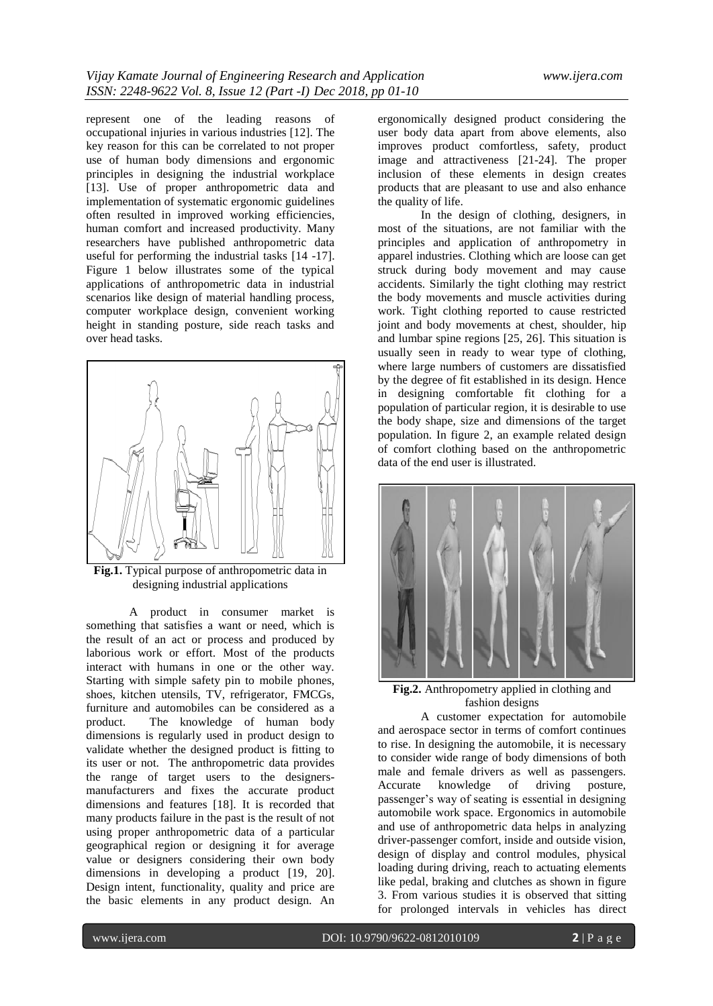represent one of the leading reasons of occupational injuries in various industries [12]. The key reason for this can be correlated to not proper use of human body dimensions and ergonomic principles in designing the industrial workplace [13]. Use of proper anthropometric data and implementation of systematic ergonomic guidelines often resulted in improved working efficiencies, human comfort and increased productivity. Many researchers have published anthropometric data useful for performing the industrial tasks [14 -17]. Figure 1 below illustrates some of the typical applications of anthropometric data in industrial scenarios like design of material handling process, computer workplace design, convenient working height in standing posture, side reach tasks and over head tasks.



**Fig.1.** Typical purpose of anthropometric data in designing industrial applications

A product in consumer market is something that satisfies a want or need, which is the result of an act or process and produced by laborious work or effort. Most of the products interact with humans in one or the other way. Starting with simple safety pin to mobile phones, shoes, kitchen utensils, TV, refrigerator, FMCGs, furniture and automobiles can be considered as a product. The knowledge of human body dimensions is regularly used in product design to validate whether the designed product is fitting to its user or not. The anthropometric data provides the range of target users to the designersmanufacturers and fixes the accurate product dimensions and features [18]. It is recorded that many products failure in the past is the result of not using proper anthropometric data of a particular geographical region or designing it for average value or designers considering their own body dimensions in developing a product [19, 20]. Design intent, functionality, quality and price are the basic elements in any product design. An

ergonomically designed product considering the user body data apart from above elements, also improves product comfortless, safety, product image and attractiveness [21-24]. The proper inclusion of these elements in design creates products that are pleasant to use and also enhance the quality of life.

In the design of clothing, designers, in most of the situations, are not familiar with the principles and application of anthropometry in apparel industries. Clothing which are loose can get struck during body movement and may cause accidents. Similarly the tight clothing may restrict the body movements and muscle activities during work. Tight clothing reported to cause restricted joint and body movements at chest, shoulder, hip and lumbar spine regions [25, 26]. This situation is usually seen in ready to wear type of clothing, where large numbers of customers are dissatisfied by the degree of fit established in its design. Hence in designing comfortable fit clothing for a population of particular region, it is desirable to use the body shape, size and dimensions of the target population. In figure 2, an example related design of comfort clothing based on the anthropometric data of the end user is illustrated.



**Fig.2.** Anthropometry applied in clothing and fashion designs

A customer expectation for automobile and aerospace sector in terms of comfort continues to rise. In designing the automobile, it is necessary to consider wide range of body dimensions of both male and female drivers as well as passengers. Accurate knowledge of driving posture, passenger"s way of seating is essential in designing automobile work space. Ergonomics in automobile and use of anthropometric data helps in analyzing driver-passenger comfort, inside and outside vision, design of display and control modules, physical loading during driving, reach to actuating elements like pedal, braking and clutches as shown in figure 3. From various studies it is observed that sitting for prolonged intervals in vehicles has direct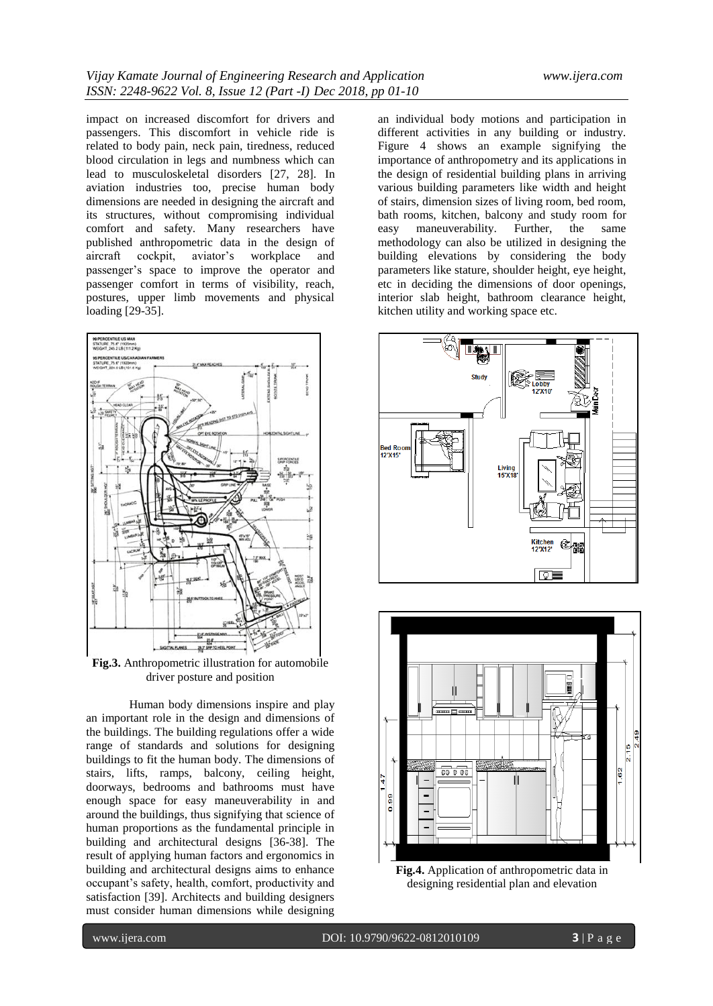impact on increased discomfort for drivers and passengers. This discomfort in vehicle ride is related to body pain, neck pain, tiredness, reduced blood circulation in legs and numbness which can lead to musculoskeletal disorders [27, 28]. In aviation industries too, precise human body dimensions are needed in designing the aircraft and its structures, without compromising individual comfort and safety. Many researchers have published anthropometric data in the design of aircraft cockpit. aviator's workplace and aircraft cockpit, aviator"s workplace and passenger's space to improve the operator and passenger comfort in terms of visibility, reach, postures, upper limb movements and physical loading [29-35].



**Fig.3.** Anthropometric illustration for automobile driver posture and position

Human body dimensions inspire and play an important role in the design and dimensions of the buildings. The building regulations offer a wide range of standards and solutions for designing buildings to fit the human body. The dimensions of stairs, lifts, ramps, balcony, ceiling height, doorways, bedrooms and bathrooms must have enough space for easy maneuverability in and around the buildings, thus signifying that science of human proportions as the fundamental principle in building and architectural designs [36-38]. The result of applying human factors and ergonomics in building and architectural designs aims to enhance occupant"s safety, health, comfort, productivity and satisfaction [39]. Architects and building designers must consider human dimensions while designing

an individual body motions and participation in different activities in any building or industry. Figure 4 shows an example signifying the importance of anthropometry and its applications in the design of residential building plans in arriving various building parameters like width and height of stairs, dimension sizes of living room, bed room, bath rooms, kitchen, balcony and study room for easy maneuverability. Further, the same methodology can also be utilized in designing the building elevations by considering the body parameters like stature, shoulder height, eye height, etc in deciding the dimensions of door openings, interior slab height, bathroom clearance height, kitchen utility and working space etc.





**Fig.4.** Application of anthropometric data in designing residential plan and elevation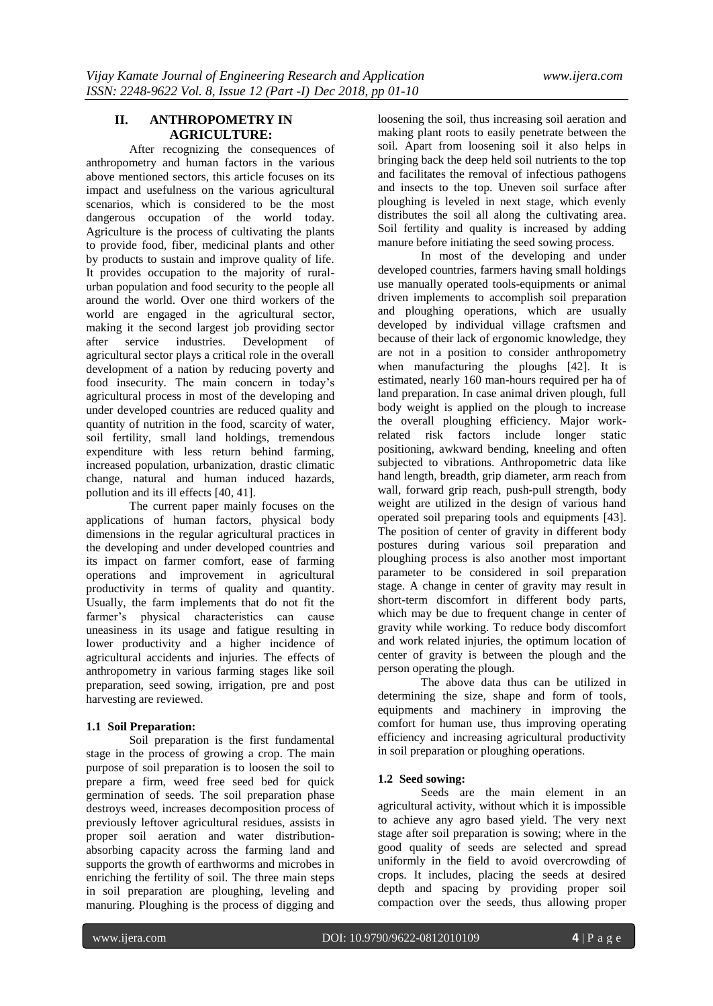# **II. ANTHROPOMETRY IN AGRICULTURE:**

After recognizing the consequences of anthropometry and human factors in the various above mentioned sectors, this article focuses on its impact and usefulness on the various agricultural scenarios, which is considered to be the most dangerous occupation of the world today. Agriculture is the process of cultivating the plants to provide food, fiber, medicinal plants and other by products to sustain and improve quality of life. It provides occupation to the majority of ruralurban population and food security to the people all around the world. Over one third workers of the world are engaged in the agricultural sector, making it the second largest job providing sector after service industries. Development of agricultural sector plays a critical role in the overall development of a nation by reducing poverty and food insecurity. The main concern in today"s agricultural process in most of the developing and under developed countries are reduced quality and quantity of nutrition in the food, scarcity of water, soil fertility, small land holdings, tremendous expenditure with less return behind farming, increased population, urbanization, drastic climatic change, natural and human induced hazards, pollution and its ill effects [40, 41].

The current paper mainly focuses on the applications of human factors, physical body dimensions in the regular agricultural practices in the developing and under developed countries and its impact on farmer comfort, ease of farming operations and improvement in agricultural productivity in terms of quality and quantity. Usually, the farm implements that do not fit the farmer's physical characteristics can cause uneasiness in its usage and fatigue resulting in lower productivity and a higher incidence of agricultural accidents and injuries. The effects of anthropometry in various farming stages like soil preparation, seed sowing, irrigation, pre and post harvesting are reviewed.

# **1.1 Soil Preparation:**

Soil preparation is the first fundamental stage in the process of growing a crop. The main purpose of soil preparation is to loosen the soil to prepare a firm, weed free seed bed for quick germination of seeds. The soil preparation phase destroys weed, increases decomposition process of previously leftover agricultural residues, assists in proper soil aeration and water distributionabsorbing capacity across the farming land and supports the growth of earthworms and microbes in enriching the fertility of soil. The three main steps in soil preparation are ploughing, leveling and manuring. Ploughing is the process of digging and

loosening the soil, thus increasing soil aeration and making plant roots to easily penetrate between the soil. Apart from loosening soil it also helps in bringing back the deep held soil nutrients to the top and facilitates the removal of infectious pathogens and insects to the top. Uneven soil surface after ploughing is leveled in next stage, which evenly distributes the soil all along the cultivating area. Soil fertility and quality is increased by adding manure before initiating the seed sowing process.

In most of the developing and under developed countries, farmers having small holdings use manually operated tools-equipments or animal driven implements to accomplish soil preparation and ploughing operations, which are usually developed by individual village craftsmen and because of their lack of ergonomic knowledge, they are not in a position to consider anthropometry when manufacturing the ploughs [42]. It is estimated, nearly 160 man-hours required per ha of land preparation. In case animal driven plough, full body weight is applied on the plough to increase the overall ploughing efficiency. Major workrelated risk factors include longer static positioning, awkward bending, kneeling and often subjected to vibrations. Anthropometric data like hand length, breadth, grip diameter, arm reach from wall, forward grip reach, push-pull strength, body weight are utilized in the design of various hand operated soil preparing tools and equipments [43]. The position of center of gravity in different body postures during various soil preparation and ploughing process is also another most important parameter to be considered in soil preparation stage. A change in center of gravity may result in short-term discomfort in different body parts, which may be due to frequent change in center of gravity while working. To reduce body discomfort and work related injuries, the optimum location of center of gravity is between the plough and the person operating the plough.

The above data thus can be utilized in determining the size, shape and form of tools, equipments and machinery in improving the comfort for human use, thus improving operating efficiency and increasing agricultural productivity in soil preparation or ploughing operations.

# **1.2 Seed sowing:**

Seeds are the main element in an agricultural activity, without which it is impossible to achieve any agro based yield. The very next stage after soil preparation is sowing; where in the good quality of seeds are selected and spread uniformly in the field to avoid overcrowding of crops. It includes, placing the seeds at desired depth and spacing by providing proper soil compaction over the seeds, thus allowing proper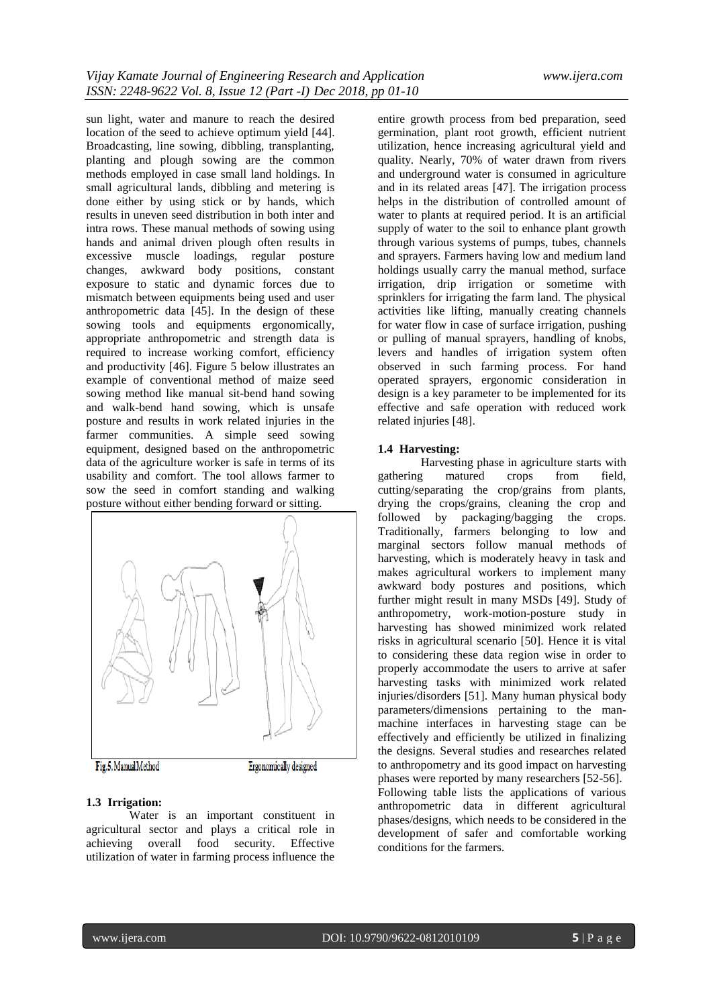sun light, water and manure to reach the desired location of the seed to achieve optimum yield [44]. Broadcasting, line sowing, dibbling, transplanting, planting and plough sowing are the common methods employed in case small land holdings. In small agricultural lands, dibbling and metering is done either by using stick or by hands, which results in uneven seed distribution in both inter and intra rows. These manual methods of sowing using hands and animal driven plough often results in excessive muscle loadings, regular posture changes, awkward body positions, constant exposure to static and dynamic forces due to mismatch between equipments being used and user anthropometric data [45]. In the design of these sowing tools and equipments ergonomically, appropriate anthropometric and strength data is required to increase working comfort, efficiency and productivity [46]. Figure 5 below illustrates an example of conventional method of maize seed sowing method like manual sit-bend hand sowing and walk-bend hand sowing, which is unsafe posture and results in work related injuries in the farmer communities. A simple seed sowing equipment, designed based on the anthropometric data of the agriculture worker is safe in terms of its usability and comfort. The tool allows farmer to sow the seed in comfort standing and walking posture without either bending forward or sitting.



#### **1.3 Irrigation:**

Water is an important constituent in agricultural sector and plays a critical role in achieving overall food security. Effective utilization of water in farming process influence the

entire growth process from bed preparation, seed germination, plant root growth, efficient nutrient utilization, hence increasing agricultural yield and quality. Nearly, 70% of water drawn from rivers and underground water is consumed in agriculture and in its related areas [47]. The irrigation process helps in the distribution of controlled amount of water to plants at required period. It is an artificial supply of water to the soil to enhance plant growth through various systems of pumps, tubes, channels and sprayers. Farmers having low and medium land holdings usually carry the manual method, surface irrigation, drip irrigation or sometime with sprinklers for irrigating the farm land. The physical activities like lifting, manually creating channels for water flow in case of surface irrigation, pushing or pulling of manual sprayers, handling of knobs, levers and handles of irrigation system often observed in such farming process. For hand operated sprayers, ergonomic consideration in design is a key parameter to be implemented for its effective and safe operation with reduced work related injuries [48].

### **1.4 Harvesting:**

Harvesting phase in agriculture starts with gathering matured crops from field, cutting/separating the crop/grains from plants, drying the crops/grains, cleaning the crop and followed by packaging/bagging the crops. Traditionally, farmers belonging to low and marginal sectors follow manual methods of harvesting, which is moderately heavy in task and makes agricultural workers to implement many awkward body postures and positions, which further might result in many MSDs [49]. Study of anthropometry, work-motion-posture study in harvesting has showed minimized work related risks in agricultural scenario [50]. Hence it is vital to considering these data region wise in order to properly accommodate the users to arrive at safer harvesting tasks with minimized work related injuries/disorders [51]. Many human physical body parameters/dimensions pertaining to the manmachine interfaces in harvesting stage can be effectively and efficiently be utilized in finalizing the designs. Several studies and researches related to anthropometry and its good impact on harvesting phases were reported by many researchers [52-56]. Following table lists the applications of various anthropometric data in different agricultural phases/designs, which needs to be considered in the development of safer and comfortable working conditions for the farmers.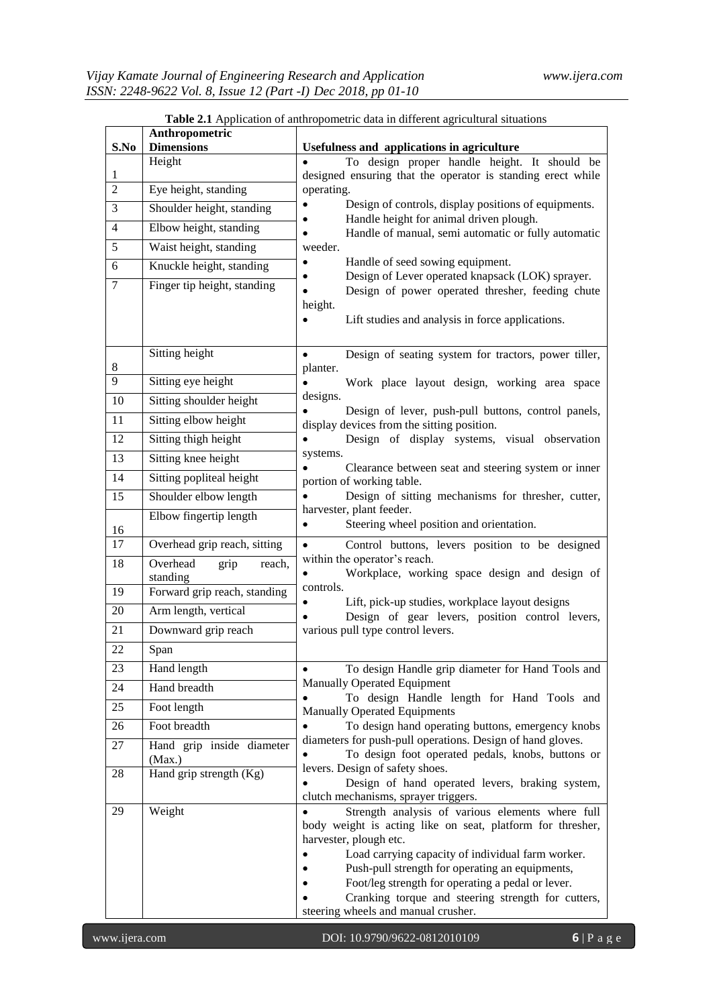|                | <b>Table 2.1</b> Application of anthropometric data in different agricultural situations |                                                                                                                                                                                                                                                                                                                                                                                                                 |  |  |  |
|----------------|------------------------------------------------------------------------------------------|-----------------------------------------------------------------------------------------------------------------------------------------------------------------------------------------------------------------------------------------------------------------------------------------------------------------------------------------------------------------------------------------------------------------|--|--|--|
| S.No           | Anthropometric<br><b>Dimensions</b>                                                      | Usefulness and applications in agriculture                                                                                                                                                                                                                                                                                                                                                                      |  |  |  |
| $\mathbf{1}$   | Height                                                                                   | To design proper handle height. It should be<br>$\bullet$<br>designed ensuring that the operator is standing erect while                                                                                                                                                                                                                                                                                        |  |  |  |
| $\overline{2}$ | Eye height, standing                                                                     | operating.                                                                                                                                                                                                                                                                                                                                                                                                      |  |  |  |
| 3              | Shoulder height, standing                                                                | Design of controls, display positions of equipments.<br>$\bullet$                                                                                                                                                                                                                                                                                                                                               |  |  |  |
| 4              | Elbow height, standing                                                                   | Handle height for animal driven plough.<br>$\bullet$<br>Handle of manual, semi automatic or fully automatic                                                                                                                                                                                                                                                                                                     |  |  |  |
| $\overline{5}$ | Waist height, standing                                                                   | weeder.                                                                                                                                                                                                                                                                                                                                                                                                         |  |  |  |
| 6              | Knuckle height, standing                                                                 | Handle of seed sowing equipment.<br>$\bullet$<br>Design of Lever operated knapsack (LOK) sprayer.                                                                                                                                                                                                                                                                                                               |  |  |  |
| 7              | Finger tip height, standing                                                              | Design of power operated thresher, feeding chute<br>height.<br>Lift studies and analysis in force applications.                                                                                                                                                                                                                                                                                                 |  |  |  |
| 8              | Sitting height                                                                           | Design of seating system for tractors, power tiller,<br>$\bullet$<br>planter.                                                                                                                                                                                                                                                                                                                                   |  |  |  |
| 9              | Sitting eye height                                                                       | Work place layout design, working area space                                                                                                                                                                                                                                                                                                                                                                    |  |  |  |
| 10             | Sitting shoulder height                                                                  | designs.<br>Design of lever, push-pull buttons, control panels,                                                                                                                                                                                                                                                                                                                                                 |  |  |  |
| 11             | Sitting elbow height                                                                     | display devices from the sitting position.                                                                                                                                                                                                                                                                                                                                                                      |  |  |  |
| 12             | Sitting thigh height                                                                     | Design of display systems, visual observation<br>$\bullet$                                                                                                                                                                                                                                                                                                                                                      |  |  |  |
| 13             | Sitting knee height                                                                      | systems.<br>Clearance between seat and steering system or inner                                                                                                                                                                                                                                                                                                                                                 |  |  |  |
| 14             | Sitting popliteal height                                                                 | portion of working table.                                                                                                                                                                                                                                                                                                                                                                                       |  |  |  |
| 15             | Shoulder elbow length                                                                    | Design of sitting mechanisms for thresher, cutter,<br>harvester, plant feeder.                                                                                                                                                                                                                                                                                                                                  |  |  |  |
| 16             | Elbow fingertip length                                                                   | Steering wheel position and orientation.<br>$\bullet$                                                                                                                                                                                                                                                                                                                                                           |  |  |  |
| 17             | Overhead grip reach, sitting                                                             | Control buttons, levers position to be designed<br>$\bullet$                                                                                                                                                                                                                                                                                                                                                    |  |  |  |
| 18             | Overhead<br>grip<br>reach,<br>standing                                                   | within the operator's reach.<br>Workplace, working space design and design of<br>$\bullet$                                                                                                                                                                                                                                                                                                                      |  |  |  |
| 19             | Forward grip reach, standing                                                             | controls.                                                                                                                                                                                                                                                                                                                                                                                                       |  |  |  |
| 20             | Arm length, vertical                                                                     | Lift, pick-up studies, workplace layout designs<br>$\bullet$<br>Design of gear levers, position control levers,<br>$\bullet$                                                                                                                                                                                                                                                                                    |  |  |  |
| 21             | Downward grip reach                                                                      | various pull type control levers.                                                                                                                                                                                                                                                                                                                                                                               |  |  |  |
| 22             | Span                                                                                     |                                                                                                                                                                                                                                                                                                                                                                                                                 |  |  |  |
| 23             | Hand length                                                                              | To design Handle grip diameter for Hand Tools and<br>$\bullet$                                                                                                                                                                                                                                                                                                                                                  |  |  |  |
| 24             | Hand breadth                                                                             | <b>Manually Operated Equipment</b><br>To design Handle length for Hand Tools and                                                                                                                                                                                                                                                                                                                                |  |  |  |
| 25             | Foot length                                                                              | <b>Manually Operated Equipments</b>                                                                                                                                                                                                                                                                                                                                                                             |  |  |  |
| 26             | Foot breadth                                                                             | To design hand operating buttons, emergency knobs<br>$\bullet$                                                                                                                                                                                                                                                                                                                                                  |  |  |  |
| 27             | Hand grip inside diameter<br>(Max.)                                                      | diameters for push-pull operations. Design of hand gloves.<br>To design foot operated pedals, knobs, buttons or                                                                                                                                                                                                                                                                                                 |  |  |  |
| 28             | Hand grip strength (Kg)                                                                  | levers. Design of safety shoes.<br>Design of hand operated levers, braking system,<br>clutch mechanisms, sprayer triggers.                                                                                                                                                                                                                                                                                      |  |  |  |
| 29             | Weight                                                                                   | Strength analysis of various elements where full<br>$\bullet$<br>body weight is acting like on seat, platform for thresher,<br>harvester, plough etc.<br>Load carrying capacity of individual farm worker.<br>Push-pull strength for operating an equipments,<br>Foot/leg strength for operating a pedal or lever.<br>Cranking torque and steering strength for cutters,<br>steering wheels and manual crusher. |  |  |  |

|  |  | Table 2.1 Application of anthropometric data in different agricultural situations |
|--|--|-----------------------------------------------------------------------------------|
|  |  |                                                                                   |
|  |  |                                                                                   |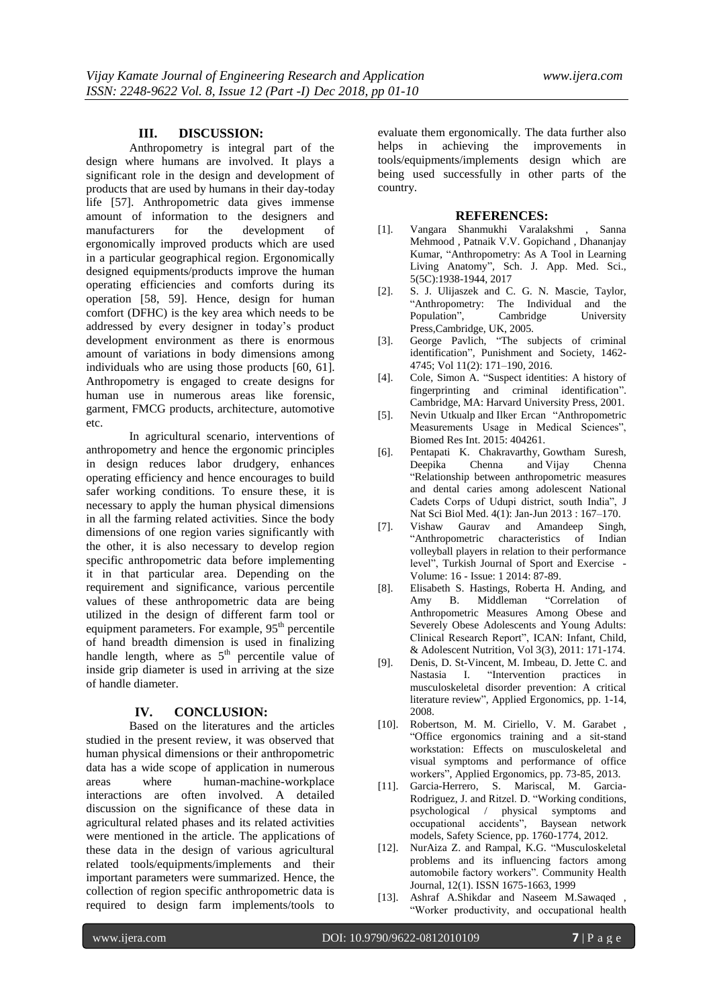## **III. DISCUSSION:**

Anthropometry is integral part of the design where humans are involved. It plays a significant role in the design and development of products that are used by humans in their day-today life [57]. Anthropometric data gives immense amount of information to the designers and manufacturers for the development of ergonomically improved products which are used in a particular geographical region. Ergonomically designed equipments/products improve the human operating efficiencies and comforts during its operation [58, 59]. Hence, design for human comfort (DFHC) is the key area which needs to be addressed by every designer in today"s product development environment as there is enormous amount of variations in body dimensions among individuals who are using those products [60, 61]. Anthropometry is engaged to create designs for human use in numerous areas like forensic, garment, FMCG products, architecture, automotive etc.

In agricultural scenario, interventions of anthropometry and hence the ergonomic principles in design reduces labor drudgery, enhances operating efficiency and hence encourages to build safer working conditions. To ensure these, it is necessary to apply the human physical dimensions in all the farming related activities. Since the body dimensions of one region varies significantly with the other, it is also necessary to develop region specific anthropometric data before implementing it in that particular area. Depending on the requirement and significance, various percentile values of these anthropometric data are being utilized in the design of different farm tool or equipment parameters. For example,  $95<sup>th</sup>$  percentile of hand breadth dimension is used in finalizing handle length, where as  $5<sup>th</sup>$  percentile value of inside grip diameter is used in arriving at the size of handle diameter.

# **IV. CONCLUSION:**

Based on the literatures and the articles studied in the present review, it was observed that human physical dimensions or their anthropometric data has a wide scope of application in numerous areas where human-machine-workplace interactions are often involved. A detailed discussion on the significance of these data in agricultural related phases and its related activities were mentioned in the article. The applications of these data in the design of various agricultural related tools/equipments/implements and their important parameters were summarized. Hence, the collection of region specific anthropometric data is required to design farm implements/tools to

evaluate them ergonomically. The data further also helps in achieving the improvements in tools/equipments/implements design which are being used successfully in other parts of the country.

### **REFERENCES:**

- [1]. Vangara Shanmukhi Varalakshmi , Sanna Mehmood , Patnaik V.V. Gopichand , Dhananjay Kumar, "Anthropometry: As A Tool in Learning Living Anatomy", Sch. J. App. Med. Sci., 5(5C):1938-1944, 2017
- [2]. S. J. Ulijaszek and C. G. N. Mascie, Taylor, "Anthropometry: The Individual and the Population", Cambridge University Press,Cambridge, UK, 2005.
- [3]. George Pavlich, "The subjects of criminal identification", Punishment and Society, 1462- 4745; Vol 11(2): 171–190, 2016.
- [4]. Cole, Simon A. "Suspect identities: A history of fingerprinting and criminal identification". Cambridge, MA: Harvard University Press, 2001.
- [5]. [Nevin Utkualp](https://www.ncbi.nlm.nih.gov/pubmed/?term=Utkualp%20N%5BAuthor%5D&cauthor=true&cauthor_uid=26413519) and [Ilker Ercan](https://www.ncbi.nlm.nih.gov/pubmed/?term=Ercan%20I%5BAuthor%5D&cauthor=true&cauthor_uid=26413519) "Anthropometric Measurements Usage in Medical Sciences", [Biomed Res Int.](https://www.ncbi.nlm.nih.gov/pmc/articles/PMC4564618/) 2015: 404261.
- [6]. [Pentapati K. Chakravarthy,](https://www.ncbi.nlm.nih.gov/pubmed/?term=Chakravarthy%20PK%5BAuthor%5D&cauthor=true&cauthor_uid=23633856) [Gowtham Suresh,](https://www.ncbi.nlm.nih.gov/pubmed/?term=Suresh%20G%5BAuthor%5D&cauthor=true&cauthor_uid=23633856) [Deepika Chenna](https://www.ncbi.nlm.nih.gov/pubmed/?term=Chenna%20D%5BAuthor%5D&cauthor=true&cauthor_uid=23633856) and [Vijay Chenna](https://www.ncbi.nlm.nih.gov/pubmed/?term=Chenna%20V%5BAuthor%5D&cauthor=true&cauthor_uid=23633856)  "Relationship between anthropometric measures and dental caries among adolescent National Cadets Corps of Udupi district, south India", [J](https://www.ncbi.nlm.nih.gov/pmc/articles/PMC3633271/)  [Nat Sci Biol Med.](https://www.ncbi.nlm.nih.gov/pmc/articles/PMC3633271/) 4(1): Jan-Jun 2013 : 167–170.
- [7]. Vishaw Gaurav and Amandeep Singh, "Anthropometric characteristics of volleyball players in relation to their performance level", Turkish Journal of Sport and Exercise - Volume: 16 - Issue: 1 2014: 87-89.
- [8]. Elisabeth S. Hastings, Roberta H. Anding, and Amy B. Middleman "Correlation of Anthropometric Measures Among Obese and Severely Obese Adolescents and Young Adults: Clinical Research Report", ICAN: Infant, Child, & Adolescent Nutrition, Vol 3(3), 2011: 171-174.
- [9]. Denis, D. St-Vincent, M. Imbeau, D. Jette C. and Nastasia I. "Intervention practices in musculoskeletal disorder prevention: A critical literature review", Applied Ergonomics, pp. 1-14, 2008.
- [10]. Robertson, M. M. Ciriello, V. M. Garabet "Office ergonomics training and a sit-stand workstation: Effects on musculoskeletal and visual symptoms and performance of office workers", Applied Ergonomics, pp. 73-85, 2013.
- [11]. Garcia-Herrero, S. Mariscal, M. Garcia-Rodriguez, J. and Ritzel. D. "Working conditions, psychological / physical symptoms and occupational accidents", Baysean network models, Safety Science, pp. 1760-1774, 2012.
- [12]. NurAiza Z. and Rampal, K.G. "Musculoskeletal problems and its influencing factors among automobile factory workers". Community Health Journal, 12(1). ISSN 1675-1663, 1999
- [13]. [Ashraf A.Shikdar](https://www.sciencedirect.com/science/article/abs/pii/S0360835203000743#!) and [Naseem M.Sawaqed](https://www.sciencedirect.com/science/article/abs/pii/S0360835203000743#!) "Worker productivity, and occupational health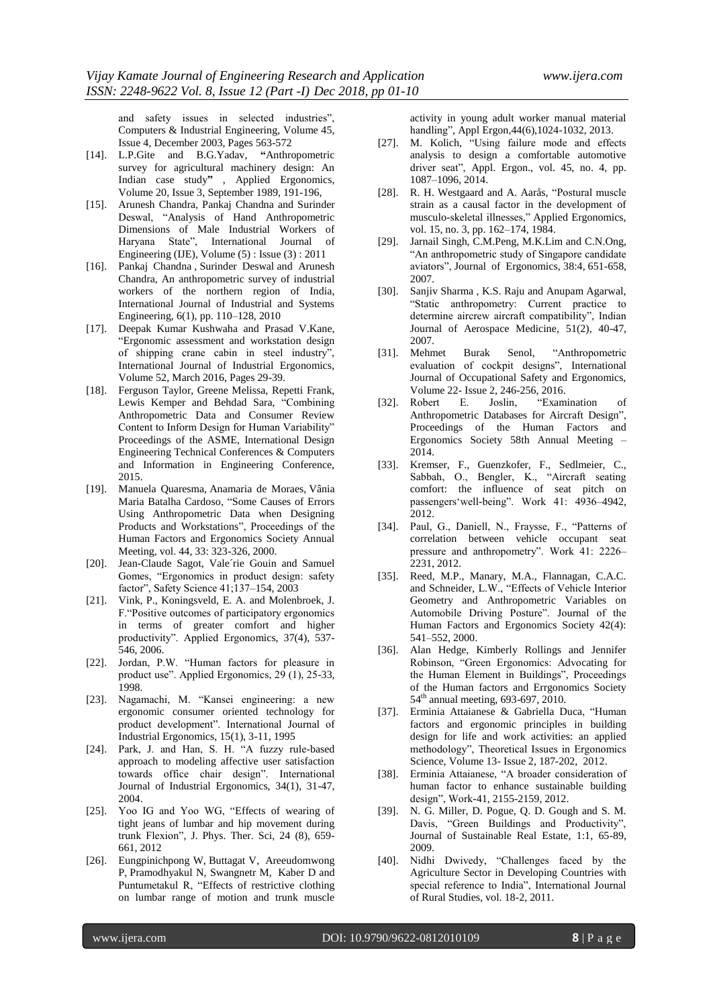and safety issues in selected industries", [Computers & Industrial Engineering,](https://www.sciencedirect.com/science/journal/03608352) [Volume 45,](https://www.sciencedirect.com/science/journal/03608352/45/4)  [Issue 4,](https://www.sciencedirect.com/science/journal/03608352/45/4) December 2003, Pages 563-572

- [14]. [L.P.Gite](https://www.sciencedirect.com/science/article/pii/0003687089900768#!) and [B.G.Yadav,](https://www.sciencedirect.com/science/article/pii/0003687089900768#!) **"**Anthropometric survey for agricultural machinery design: An Indian case study**"** , [Applied Ergonomics,](https://www.sciencedirect.com/science/journal/00036870)  [Volume 20, Issue 3,](https://www.sciencedirect.com/science/journal/00036870/20/3) September 1989, 191-196,
- [15]. Arunesh Chandra, Pankaj Chandna and Surinder Deswal, "Analysis of Hand Anthropometric Dimensions of Male Industrial Workers of Haryana State", International Journal of Engineering (IJE), Volume (5) : Issue (3) : 2011
- [16]. [Pankaj Chandna](https://www.inderscienceonline.com/author/Chandna%2C+Pankaj) , [Surinder Deswal](https://www.inderscienceonline.com/author/Deswal%2C+Surinder) and [Arunesh](https://www.inderscienceonline.com/author/Chandra%2C+Arunesh)  [Chandra, A](https://www.inderscienceonline.com/author/Chandra%2C+Arunesh)n anthropometric survey of industrial workers of the northern region of India, [International Journal of Industrial and Systems](https://www.inderscienceonline.com/loi/ijise)  [Engineering,](https://www.inderscienceonline.com/loi/ijise) 6(1), pp. 110–128, 2010
- [17]. [Deepak Kumar Kushwaha](https://www.sciencedirect.com/science/article/abs/pii/S0169814115300111#!) and [Prasad V.Kane,](https://www.sciencedirect.com/science/article/abs/pii/S0169814115300111#!)  "Ergonomic assessment and workstation design of shipping crane cabin in steel industry", [International Journal of Industrial Ergonomics,](https://www.sciencedirect.com/science/journal/01698141)  [Volume 52,](https://www.sciencedirect.com/science/journal/01698141/52/supp/C) March 2016, Pages 29-39.
- [18]. Ferguson Taylor, Greene Melissa, Repetti Frank, Lewis Kemper and Behdad Sara, "Combining Anthropometric Data and Consumer Review Content to Inform Design for Human Variability" Proceedings of the ASME, International Design Engineering Technical Conferences & Computers and Information in Engineering Conference, 2015.
- [19]. [Manuela Quaresma,](http://journals.sagepub.com/author/Quaresma%2C+Manuela) [Anamaria de Moraes,](http://journals.sagepub.com/author/de+Moraes%2C+Anamaria) [Vânia](http://journals.sagepub.com/author/Cardoso%2C+V%C3%A2nia+Maria+Batalha)  [Maria Batalha Cardoso,](http://journals.sagepub.com/author/Cardoso%2C+V%C3%A2nia+Maria+Batalha) ["Some Causes of Errors](http://journals.sagepub.com/doi/pdf/10.1177/154193120004403367)  [Using Anthropometric Data when Designing](http://journals.sagepub.com/doi/pdf/10.1177/154193120004403367)  [Products and Workstations"](http://journals.sagepub.com/doi/pdf/10.1177/154193120004403367), Proceedings of the Human Factors and Ergonomics Society Annual Meeting, vol. 44, 33: 323-326, 2000.
- [20]. Jean-Claude Sagot, Vale'rie Gouin and Samuel Gomes, "Ergonomics in product design: safety factor", Safety Science 41;137–154, 2003
- [21]. Vink, P., Koningsveld, E. A. and Molenbroek, J. F."Positive outcomes of participatory ergonomics in terms of greater comfort and higher productivity". Applied Ergonomics, 37(4), 537- 546, 2006.
- [22]. Jordan, P.W. "Human factors for pleasure in product use". Applied Ergonomics, 29 (1), 25-33, 1998.
- [23]. Nagamachi, M. "Kansei engineering: a new ergonomic consumer oriented technology for product development". International Journal of Industrial Ergonomics, 15(1), 3-11, 1995
- [24]. Park, J. and Han, S. H. "A fuzzy rule-based approach to modeling affective user satisfaction towards office chair design". International Journal of Industrial Ergonomics, 34(1), 31-47, 2004.
- [25]. Yoo IG and Yoo WG, "Effects of wearing of tight jeans of lumbar and hip movement during trunk Flexion", J. Phys. Ther. Sci, 24 (8), 659- 661, 2012
- [26]. Eungpinichpong W, Buttagat V, Areeudomwong P, Pramodhyakul N, Swangnetr M, Kaber D and Puntumetakul R, "Effects of restrictive clothing on lumbar range of motion and trunk muscle

activity in young adult worker manual material handling", Appl Ergon,44(6),1024-1032, 2013.

- [27]. M. Kolich, "Using failure mode and effects analysis to design a comfortable automotive driver seat", Appl. Ergon., vol. 45, no. 4, pp. 1087–1096, 2014.
- [28]. R. H. Westgaard and A. Aarås, "Postural muscle strain as a causal factor in the development of musculo-skeletal illnesses," Applied Ergonomics, vol. 15, no. 3, pp. 162–174, 1984.
- [29]. Jarnail Singh, C.M.Peng, M.K.Lim and C.N.Ong, "An anthropometric study of Singapore candidate aviators", Journal of Ergonomics, 38:4, 651-658, 2007.
- [30]. Sanjiv Sharma , K.S. Raju and Anupam Agarwal, "Static anthropometry: Current practice to determine aircrew aircraft compatibility", Indian Journal of Aerospace Medicine, 51(2), 40-47, 2007.
- [31]. Mehmet Burak Senol, "Anthropometric evaluation of cockpit designs", International Journal of Occupational Safety and Ergonomics, Volume 22- Issue 2, 246-256, 2016.
- [32]. Robert E. Joslin, "Examination of Anthropometric Databases for Aircraft Design", Proceedings of the Human Factors and Ergonomics Society 58th Annual Meeting – 2014.
- [33]. Kremser, F., Guenzkofer, F., Sedlmeier, C., Sabbah, O., Bengler, K., "Aircraft seating comfort: the influence of seat pitch on passengers'well-being". Work 41: 4936-4942, 2012.
- [34]. Paul, G., Daniell, N., Fraysse, F., "Patterns of correlation between vehicle occupant seat pressure and anthropometry". Work 41: 2226– 2231, 2012.
- [35]. Reed, M.P., Manary, M.A., Flannagan, C.A.C. and Schneider, L.W., "Effects of Vehicle Interior Geometry and Anthropometric Variables on Automobile Driving Posture". Journal of the Human Factors and Ergonomics Society 42(4): 541–552, 2000.
- [36]. Alan Hedge, Kimberly Rollings and Jennifer Robinson, "Green Ergonomics: Advocating for the Human Element in Buildings", Proceedings of the Human factors and Errgonomics Society 54th annual meeting, 693-697, 2010.
- [37]. [Erminia Attaianese](https://www.tandfonline.com/author/Attaianese%2C+Erminia) & [Gabriella Duca,](https://www.tandfonline.com/author/Duca%2C+Gabriella) "Human factors and ergonomic principles in building design for life and work activities: an applied methodology", Theoretical Issues in Ergonomics Science, Volume 13- Issue 2, 187-202, 2012.
- [38]. Erminia Attaianese, "A broader consideration of human factor to enhance sustainable building design", Work-41, 2155-2159, 2012.
- [39]. N. G. Miller, D. Pogue, Q. D. Gough and S. M. Davis, "Green Buildings and Productivity", Journal of Sustainable Real Estate, 1:1, 65-89, 2009.
- [40]. Nidhi Dwivedy, "Challenges faced by the Agriculture Sector in Developing Countries with special reference to India", International Journal of Rural Studies, vol. 18-2, 2011.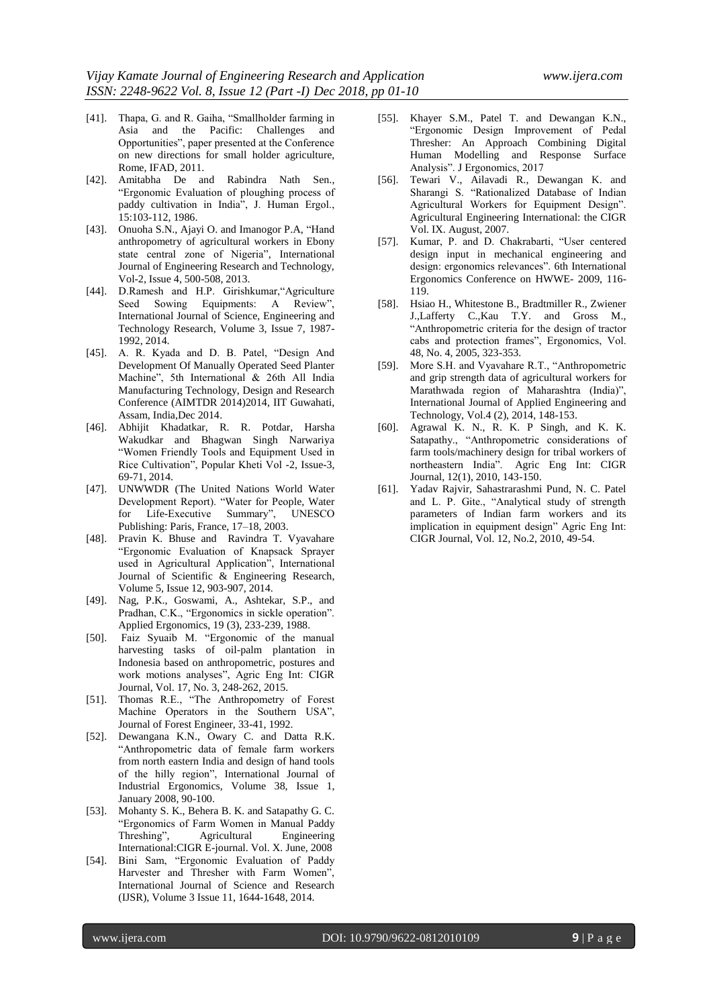- [41]. Thapa, G. and R. Gaiha, "Smallholder farming in Asia and the Pacific: Challenges and Opportunities", paper presented at the Conference on new directions for small holder agriculture, Rome, IFAD, 2011.
- [42]. Amitabha De and Rabindra Nath Sen., "Ergonomic Evaluation of ploughing process of paddy cultivation in India", J. Human Ergol., 15:103-112, 1986.
- [43]. Onuoha S.N., Ajayi O. and Imanogor P.A, "Hand anthropometry of agricultural workers in Ebony state central zone of Nigeria", International Journal of Engineering Research and Technology, Vol-2, Issue 4, 500-508, 2013.
- [44]. D.Ramesh and H.P. Girishkumar,"Agriculture Seed Sowing Equipments: A Review", International Journal of Science, Engineering and Technology Research, Volume 3, Issue 7, 1987- 1992, 2014.
- [45]. A. R. Kyada and D. B. Patel, "Design And Development Of Manually Operated Seed Planter Machine", 5th International & 26th All India Manufacturing Technology, Design and Research Conference (AIMTDR 2014)2014, IIT Guwahati, Assam, India,Dec 2014.
- [46]. Abhijit Khadatkar, R. R. Potdar, Harsha Wakudkar and Bhagwan Singh Narwariya "Women Friendly Tools and Equipment Used in Rice Cultivation", Popular Kheti Vol -2, Issue-3, 69-71, 2014.
- [47]. UNWWDR (The United Nations World Water Development Report). "Water for People, Water for Life-Executive Summary", UNESCO Publishing: Paris, France, 17–18, 2003.
- [48]. Pravin K. Bhuse and Ravindra T. Vyavahare "Ergonomic Evaluation of Knapsack Sprayer used in Agricultural Application", International Journal of Scientific & Engineering Research, Volume 5, Issue 12, 903-907, 2014.
- [49]. Nag, P.K., Goswami, A., Ashtekar, S.P., and Pradhan, C.K., "Ergonomics in sickle operation". Applied Ergonomics, 19 (3), 233-239, 1988.
- [50]. Faiz Syuaib M. "Ergonomic of the manual harvesting tasks of oil-palm plantation in Indonesia based on anthropometric, postures and work motions analyses", Agric Eng Int: CIGR Journal, Vol. 17, No. 3, 248-262, 2015.
- [51]. Thomas R.E., "The Anthropometry of Forest Machine Operators in the Southern USA", Journal of Forest Engineer, 33-41, 1992.
- [52]. [Dewangana](https://www.sciencedirect.com/science/article/abs/pii/S0169814107001746#!) K.N., Owary C. and [Datta](https://www.sciencedirect.com/science/article/abs/pii/S0169814107001746#!) R.K. "Anthropometric data of female farm workers from north eastern India and design of hand tools of the hilly region", [International Journal of](https://www.sciencedirect.com/science/journal/01698141)  [Industrial Ergonomics,](https://www.sciencedirect.com/science/journal/01698141) [Volume 38, Issue 1,](https://www.sciencedirect.com/science/journal/01698141/38/1)  January 2008, 90-100.
- [53]. Mohanty S. K., Behera B. K. and Satapathy G. C. "Ergonomics of Farm Women in Manual Paddy Threshing", Agricultural Engineering International:CIGR E-journal. Vol. X. June, 2008
- [54]. Bini Sam, "Ergonomic Evaluation of Paddy Harvester and Thresher with Farm Women", International Journal of Science and Research (IJSR), Volume 3 Issue 11, 1644-1648, 2014.
- [55]. Khayer S.M., Patel T. and Dewangan K.N., "Ergonomic Design Improvement of Pedal Thresher: An Approach Combining Digital Human Modelling and Response Surface Analysis". J Ergonomics, 2017
- [56]. Tewari V., Ailavadi R., Dewangan K. and Sharangi S. "Rationalized Database of Indian Agricultural Workers for Equipment Design". Agricultural Engineering International: the CIGR Vol. IX. August, 2007.
- [57]. Kumar, P. and D. Chakrabarti, "User centered design input in mechanical engineering and design: ergonomics relevances". 6th International Ergonomics Conference on HWWE- 2009, 116- 119.
- [58]. Hsiao H., Whitestone B., Bradtmiller R., Zwiener J.,Lafferty C.,Kau T.Y. and Gross M., "Anthropometric criteria for the design of tractor cabs and protection frames", Ergonomics, Vol. 48, No. 4, 2005, 323-353.
- [59]. More S.H. and Vyavahare R.T., "Anthropometric and grip strength data of agricultural workers for Marathwada region of Maharashtra (India)", International Journal of Applied Engineering and Technology, Vol.4 (2), 2014, 148-153.
- [60]. Agrawal K. N., R. K. P Singh, and K. K. Satapathy., "Anthropometric considerations of farm tools/machinery design for tribal workers of northeastern India". Agric Eng Int: CIGR Journal, 12(1), 2010, 143-150.
- [61]. Yadav Rajvir, Sahastrarashmi Pund, N. C. Patel and L. P. Gite., "Analytical study of strength parameters of Indian farm workers and its implication in equipment design" Agric Eng Int: CIGR Journal, Vol. 12, No.2, 2010, 49-54.